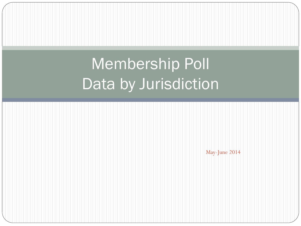# Membership Poll Data by Jurisdiction

May-June 2014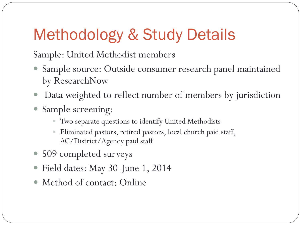## Methodology & Study Details

Sample: United Methodist members

- Sample source: Outside consumer research panel maintained by ResearchNow
- Data weighted to reflect number of members by jurisdiction
- Sample screening:
	- Two separate questions to identify United Methodists
	- Eliminated pastors, retired pastors, local church paid staff, AC/District/Agency paid staff
- 509 completed surveys
- Field dates: May 30-June 1, 2014
- Method of contact: Online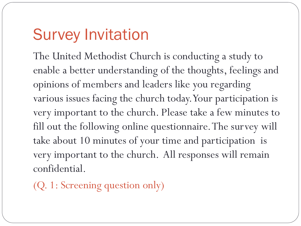## Survey Invitation

The United Methodist Church is conducting a study to enable a better understanding of the thoughts, feelings and opinions of members and leaders like you regarding various issues facing the church today. Your participation is very important to the church. Please take a few minutes to fill out the following online questionnaire. The survey will take about 10 minutes of your time and participation is very important to the church. All responses will remain confidential.

(Q. 1: Screening question only)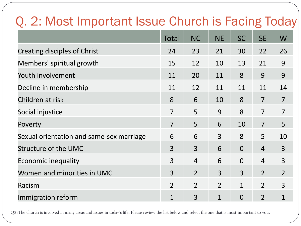### Q. 2: Most Important Issue Church is Facing Today

|                                          | Total          | <b>NC</b>      | <b>NE</b>      | <b>SC</b>      | <b>SE</b>      | W              |
|------------------------------------------|----------------|----------------|----------------|----------------|----------------|----------------|
| Creating disciples of Christ             | 24             | 23             | 21             | 30             | 22             | 26             |
| Members' spiritual growth                | 15             | 12             | 10             | 13             | 21             | 9              |
| Youth involvement                        | 11             | 20             | 11             | 8              | 9              | 9              |
| Decline in membership                    | 11             | 12             | 11             | 11             | 11             | 14             |
| Children at risk                         | 8              | 6              | 10             | 8              | $\overline{7}$ | $\overline{7}$ |
| Social injustice                         | $\overline{7}$ | 5              | 9              | 8              | $\overline{7}$ | $\overline{7}$ |
| Poverty                                  | $\overline{7}$ | 5              | 6              | 10             | $\overline{7}$ | 5              |
| Sexual orientation and same-sex marriage | 6              | 6              | $\overline{3}$ | 8              | 5              | 10             |
| Structure of the UMC                     | $\overline{3}$ | 3              | 6              | $\overline{0}$ | $\overline{4}$ | 3              |
| Economic inequality                      | 3              | $\overline{4}$ | 6              | $\overline{0}$ | $\overline{4}$ | 3              |
| Women and minorities in UMC              | 3              | $\overline{2}$ | $\overline{3}$ | $\overline{3}$ | $\overline{2}$ | $\overline{2}$ |
| Racism                                   | $\overline{2}$ | $\overline{2}$ | $\overline{2}$ | 1              | $\overline{2}$ | 3              |
| Immigration reform                       | $\mathbf{1}$   | 3              | $\mathbf{1}$   | $\overline{0}$ | $\overline{2}$ | $\mathbf 1$    |

Q2: The church is involved in many areas and issues in today's life. Please review the list below and select the one that is most important to you.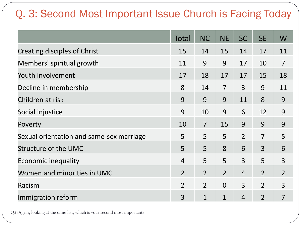### Q. 3: Second Most Important Issue Church is Facing Today

|                                          | Total          | <b>NC</b>      | <b>NE</b>      | <b>SC</b>      | <b>SE</b>      | W              |
|------------------------------------------|----------------|----------------|----------------|----------------|----------------|----------------|
| <b>Creating disciples of Christ</b>      | 15             | 14             | 15             | 14             | 17             | 11             |
| Members' spiritual growth                | 11             | 9              | 9              | 17             | 10             | $\overline{7}$ |
| Youth involvement                        | 17             | 18             | 17             | 17             | 15             | 18             |
| Decline in membership                    | 8              | 14             | $\overline{7}$ | $\overline{3}$ | 9              | 11             |
| Children at risk                         | 9              | 9              | 9              | 11             | 8              | 9              |
| Social injustice                         | 9              | 10             | 9              | 6              | 12             | 9              |
| Poverty                                  | 10             | $\overline{7}$ | 15             | 9              | 9              | 9              |
| Sexual orientation and same-sex marriage | 5              | 5              | 5              | $\overline{2}$ | $\overline{7}$ | 5              |
| Structure of the UMC                     | 5              | 5              | 8              | 6              | $\overline{3}$ | 6              |
| Economic inequality                      | $\overline{4}$ | 5              | 5              | $\overline{3}$ | 5              | 3              |
| Women and minorities in UMC              | $\overline{2}$ | $\overline{2}$ | $\overline{2}$ | $\overline{4}$ | $\overline{2}$ | $\overline{2}$ |
| Racism                                   | $\overline{2}$ | $\overline{2}$ | $\Omega$       | $\overline{3}$ | $\overline{2}$ | 3              |
| Immigration reform                       | 3              | $\mathbf{1}$   | $\mathbf{1}$   | $\overline{4}$ | $\overline{2}$ | 7              |

Q3: Again, looking at the same list, which is your second most important?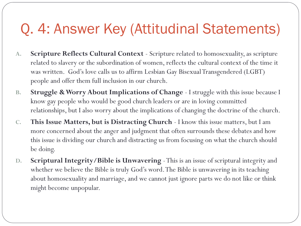### Q. 4: Answer Key (Attitudinal Statements)

- **A. Scripture Reflects Cultural Context** Scripture related to homosexuality, as scripture related to slavery or the subordination of women, reflects the cultural context of the time it was written. God's love calls us to affirm Lesbian Gay Bisexual Transgendered (LGBT) people and offer them full inclusion in our church.
- **B. Struggle & Worry About Implications of Change**  I struggle with this issue because I know gay people who would be good church leaders or are in loving committed relationships, but I also worry about the implications of changing the doctrine of the church.
- **C. This Issue Matters, but is Distracting Church**  I know this issue matters, but I am more concerned about the anger and judgment that often surrounds these debates and how this issue is dividing our church and distracting us from focusing on what the church should be doing.
- **D. Scriptural Integrity/Bible is Unwavering** -This is an issue of scriptural integrity and whether we believe the Bible is truly God's word. The Bible is unwavering in its teaching about homosexuality and marriage, and we cannot just ignore parts we do not like or think might become unpopular.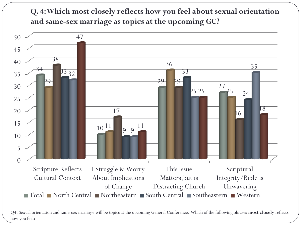**Q. 4: Which most closely reflects how you feel about sexual orientation and same-sex marriage as topics at the upcoming GC?**



Q4. Sexual orientation and same-sex marriage will be topics at the upcoming General Conference. Which of the following phrases **most closely** reflects how you feel?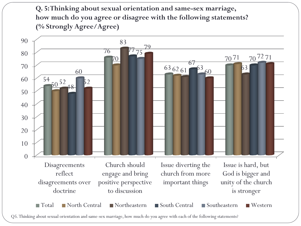**Q. 5: Thinking about sexual orientation and same-sex marriage, how much do you agree or disagree with the following statements? (% Strongly Agree/Agree)** 

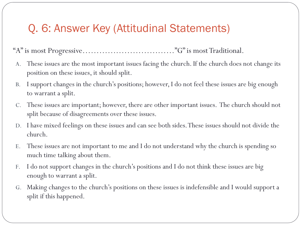#### Q. 6: Answer Key (Attitudinal Statements)

"A" is most Progressive……………………………"G" is most Traditional.

- A. These issues are the most important issues facing the church. If the church does not change its position on these issues, it should split.
- B. I support changes in the church's positions; however, I do not feel these issues are big enough to warrant a split.
- C. These issues are important; however, there are other important issues. The church should not split because of disagreements over these issues.
- D. I have mixed feelings on these issues and can see both sides. These issues should not divide the church.
- E. These issues are not important to me and I do not understand why the church is spending so much time talking about them.
- F. I do not support changes in the church's positions and I do not think these issues are big enough to warrant a split.
- G. Making changes to the church's positions on these issues is indefensible and I would support a split if this happened.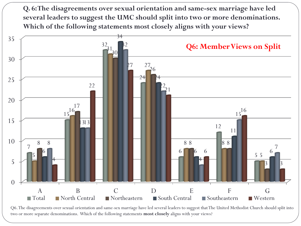**Q. 6: The disagreements over sexual orientation and same-sex marriage have led several leaders to suggest the UMC should split into two or more denominations. Which of the following statements most closely aligns with your views?**



Q6. The disagreements over sexual orientation and same-sex marriage have led several leaders to suggest that The United Methodist Church should split into two or more separate denominations. Which of the following statements **most closely** aligns with your views?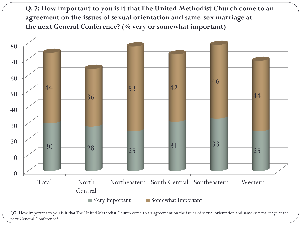**Q. 7: How important to you is it that The United Methodist Church come to an agreement on the issues of sexual orientation and same-sex marriage at the next General Conference? (% very or somewhat important)**



Q7. How important to you is it that The United Methodist Church come to an agreement on the issues of sexual orientation and same-sex marriage at the next General Conference?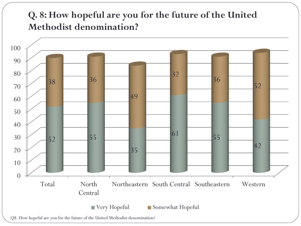#### **Q. 8: How hopeful are you for the future of the United Methodist denomination?**